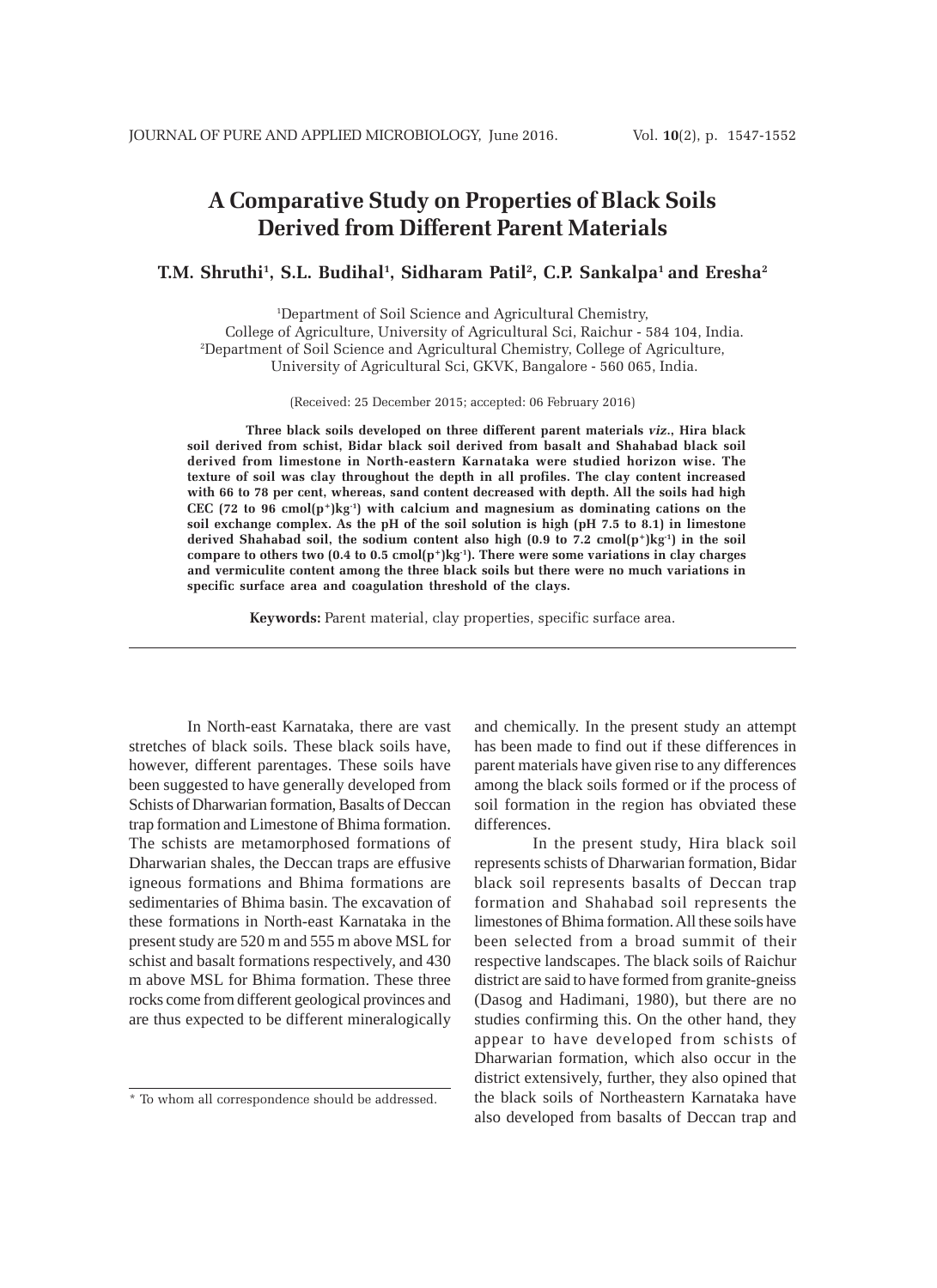# **A Comparative Study on Properties of Black Soils Derived from Different Parent Materials**

### **T.M. Shruthi1 , S.L. Budihal1 , Sidharam Patil2 , C.P. Sankalpa1 and Eresha2**

1 Department of Soil Science and Agricultural Chemistry, College of Agriculture, University of Agricultural Sci, Raichur - 584 104, India. 2 Department of Soil Science and Agricultural Chemistry, College of Agriculture, University of Agricultural Sci, GKVK, Bangalore - 560 065, India.

(Received: 25 December 2015; accepted: 06 February 2016)

**Three black soils developed on three different parent materials** *viz***., Hira black soil derived from schist, Bidar black soil derived from basalt and Shahabad black soil derived from limestone in North-eastern Karnataka were studied horizon wise. The texture of soil was clay throughout the depth in all profiles. The clay content increased with 66 to 78 per cent, whereas, sand content decreased with depth. All the soils had high CEC (72 to 96 cmol(p+)kg-1) with calcium and magnesium as dominating cations on the soil exchange complex. As the pH of the soil solution is high (pH 7.5 to 8.1) in limestone** derived Shahabad soil, the sodium content also high  $(0.9 \text{ to } 7.2 \text{ cmol(p<sup>+</sup>)kg<sup>-1</sup>)}$  in the soil **compare to others two (0.4 to 0.5 cmol(p+)kg-1). There were some variations in clay charges and vermiculite content among the three black soils but there were no much variations in specific surface area and coagulation threshold of the clays.**

**Keywords:** Parent material, clay properties, specific surface area.

In North-east Karnataka, there are vast stretches of black soils. These black soils have, however, different parentages. These soils have been suggested to have generally developed from Schists of Dharwarian formation, Basalts of Deccan trap formation and Limestone of Bhima formation. The schists are metamorphosed formations of Dharwarian shales, the Deccan traps are effusive igneous formations and Bhima formations are sedimentaries of Bhima basin. The excavation of these formations in North-east Karnataka in the present study are 520 m and 555 m above MSL for schist and basalt formations respectively, and 430 m above MSL for Bhima formation. These three rocks come from different geological provinces and are thus expected to be different mineralogically

and chemically. In the present study an attempt has been made to find out if these differences in parent materials have given rise to any differences among the black soils formed or if the process of soil formation in the region has obviated these differences.

In the present study, Hira black soil represents schists of Dharwarian formation, Bidar black soil represents basalts of Deccan trap formation and Shahabad soil represents the limestones of Bhima formation. All these soils have been selected from a broad summit of their respective landscapes. The black soils of Raichur district are said to have formed from granite-gneiss (Dasog and Hadimani, 1980), but there are no studies confirming this. On the other hand, they appear to have developed from schists of Dharwarian formation, which also occur in the district extensively, further, they also opined that the black soils of Northeastern Karnataka have also developed from basalts of Deccan trap and

<sup>\*</sup> To whom all correspondence should be addressed.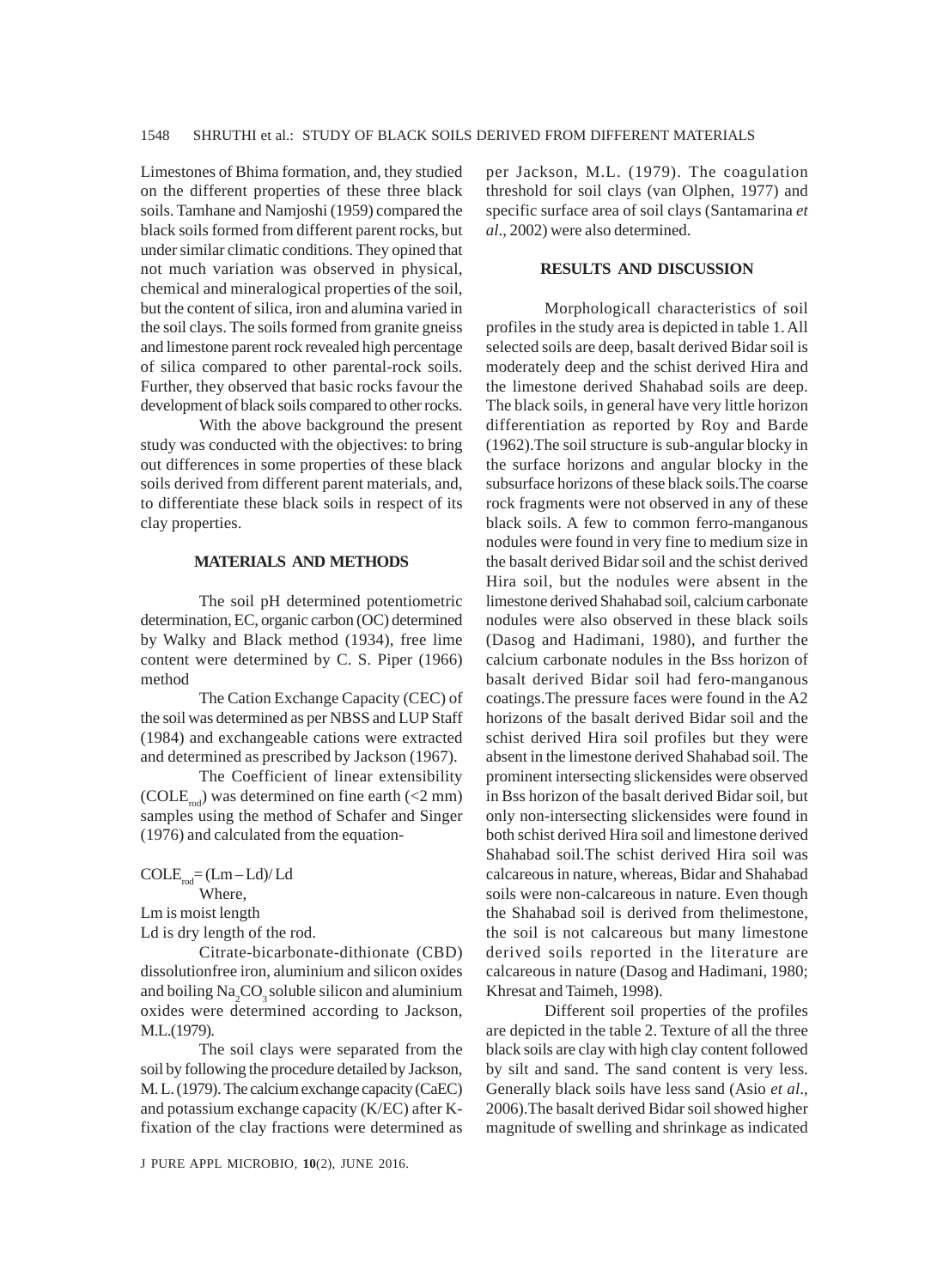Limestones of Bhima formation, and, they studied on the different properties of these three black soils. Tamhane and Namjoshi (1959) compared the black soils formed from different parent rocks, but under similar climatic conditions. They opined that not much variation was observed in physical, chemical and mineralogical properties of the soil, but the content of silica, iron and alumina varied in the soil clays. The soils formed from granite gneiss and limestone parent rock revealed high percentage of silica compared to other parental-rock soils. Further, they observed that basic rocks favour the development of black soils compared to other rocks.

With the above background the present study was conducted with the objectives: to bring out differences in some properties of these black soils derived from different parent materials, and, to differentiate these black soils in respect of its clay properties.

#### **MATERIALS AND METHODS**

The soil pH determined potentiometric determination, EC, organic carbon (OC) determined by Walky and Black method (1934), free lime content were determined by C. S. Piper (1966) method

The Cation Exchange Capacity (CEC) of the soil was determined as per NBSS and LUP Staff (1984) and exchangeable cations were extracted and determined as prescribed by Jackson (1967).

The Coefficient of linear extensibility (COLE<sub>rod</sub>) was determined on fine earth (<2 mm) samples using the method of Schafer and Singer (1976) and calculated from the equation-

 $COLE_{rod} = (Lm - Ld)/Ld$ Where,

Lm is moist length

Ld is dry length of the rod.

Citrate-bicarbonate-dithionate (CBD) dissolutionfree iron, aluminium and silicon oxides and boiling  $\text{Na}_2\text{CO}_3$  soluble silicon and aluminium oxides were determined according to Jackson, M.L.(1979).

The soil clays were separated from the soil by following the procedure detailed by Jackson, M. L. (1979). The calcium exchange capacity (CaEC) and potassium exchange capacity (K/EC) after Kfixation of the clay fractions were determined as

per Jackson, M.L. (1979). The coagulation threshold for soil clays (van Olphen, 1977) and specific surface area of soil clays (Santamarina *et al*., 2002) were also determined.

## **RESULTS AND DISCUSSION**

Morphologicall characteristics of soil profiles in the study area is depicted in table 1. All selected soils are deep, basalt derived Bidar soil is moderately deep and the schist derived Hira and the limestone derived Shahabad soils are deep. The black soils, in general have very little horizon differentiation as reported by Roy and Barde (1962).The soil structure is sub-angular blocky in the surface horizons and angular blocky in the subsurface horizons of these black soils.The coarse rock fragments were not observed in any of these black soils. A few to common ferro-manganous nodules were found in very fine to medium size in the basalt derived Bidar soil and the schist derived Hira soil, but the nodules were absent in the limestone derived Shahabad soil, calcium carbonate nodules were also observed in these black soils (Dasog and Hadimani, 1980), and further the calcium carbonate nodules in the Bss horizon of basalt derived Bidar soil had fero-manganous coatings.The pressure faces were found in the A2 horizons of the basalt derived Bidar soil and the schist derived Hira soil profiles but they were absent in the limestone derived Shahabad soil. The prominent intersecting slickensides were observed in Bss horizon of the basalt derived Bidar soil, but only non-intersecting slickensides were found in both schist derived Hira soil and limestone derived Shahabad soil.The schist derived Hira soil was calcareous in nature, whereas, Bidar and Shahabad soils were non-calcareous in nature. Even though the Shahabad soil is derived from thelimestone, the soil is not calcareous but many limestone derived soils reported in the literature are calcareous in nature (Dasog and Hadimani, 1980; Khresat and Taimeh, 1998).

Different soil properties of the profiles are depicted in the table 2. Texture of all the three black soils are clay with high clay content followed by silt and sand. The sand content is very less. Generally black soils have less sand (Asio *et al*., 2006).The basalt derived Bidar soil showed higher magnitude of swelling and shrinkage as indicated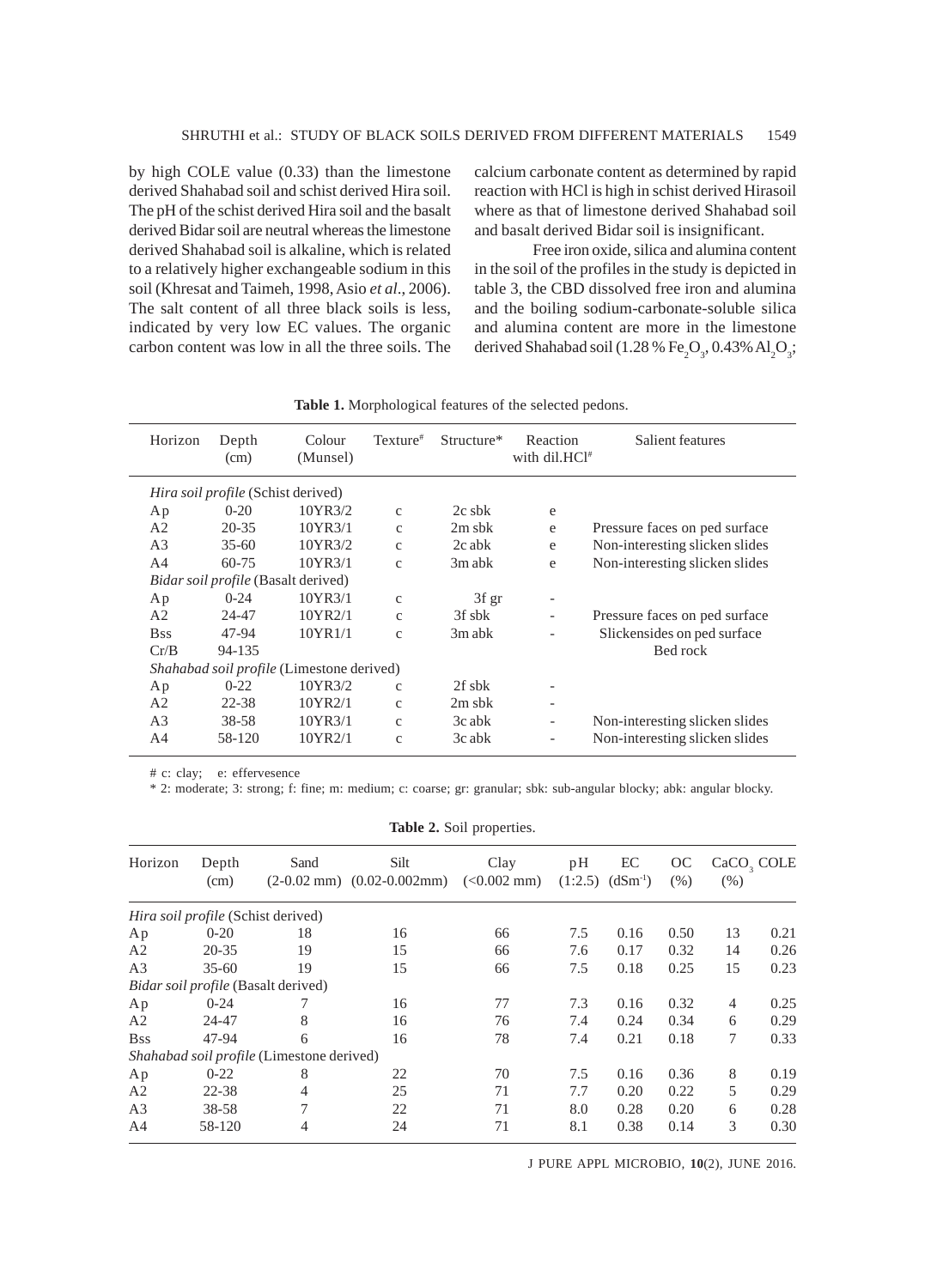by high COLE value (0.33) than the limestone derived Shahabad soil and schist derived Hira soil. The pH of the schist derived Hira soil and the basalt derived Bidar soil are neutral whereas the limestone derived Shahabad soil is alkaline, which is related to a relatively higher exchangeable sodium in this soil (Khresat and Taimeh, 1998, Asio *et al*., 2006). The salt content of all three black soils is less, indicated by very low EC values. The organic carbon content was low in all the three soils. The calcium carbonate content as determined by rapid reaction with HCl is high in schist derived Hirasoil where as that of limestone derived Shahabad soil and basalt derived Bidar soil is insignificant.

Free iron oxide, silica and alumina content in the soil of the profiles in the study is depicted in table 3, the CBD dissolved free iron and alumina and the boiling sodium-carbonate-soluble silica and alumina content are more in the limestone derived Shahabad soil (1.28 %  $Fe<sub>2</sub>O<sub>3</sub>$ , 0.43%  $Al<sub>2</sub>O<sub>3</sub>$ ;

| Horizon        | Depth<br>(cm)                      | Colour<br>(Munsel)                               | Texture <sup>#</sup> | Structure* | Reaction<br>with dil.HCl <sup>#</sup> | Salient features               |  |  |  |  |  |
|----------------|------------------------------------|--------------------------------------------------|----------------------|------------|---------------------------------------|--------------------------------|--|--|--|--|--|
|                | Hira soil profile (Schist derived) |                                                  |                      |            |                                       |                                |  |  |  |  |  |
| Ap             | $0 - 20$                           | 10YR3/2                                          | $\mathbf{C}$         | $2c$ sbk   | e                                     |                                |  |  |  |  |  |
| A <sub>2</sub> | $20 - 35$                          | 10YR3/1                                          | $\mathbf{C}$         | $2m$ sbk   | e                                     | Pressure faces on ped surface  |  |  |  |  |  |
| A <sub>3</sub> | $35 - 60$                          | 10YR3/2                                          | $\mathbf{C}$         | $2c$ abk   | e                                     | Non-interesting slicken slides |  |  |  |  |  |
| A4             | $60 - 75$                          | 10YR3/1                                          | $\mathbf{C}$         | 3m abk     | e                                     | Non-interesting slicken slides |  |  |  |  |  |
|                |                                    | Bidar soil profile (Basalt derived)              |                      |            |                                       |                                |  |  |  |  |  |
| Ap             | $0 - 24$                           | 10YR3/1                                          | $\mathbf c$          | 3f gr      | $\overline{\phantom{a}}$              |                                |  |  |  |  |  |
| A <sub>2</sub> | 24-47                              | 10YR2/1                                          | $\mathbf{C}$         | 3f sbk     |                                       | Pressure faces on ped surface  |  |  |  |  |  |
| <b>Bss</b>     | 47-94                              | 10YR1/1                                          | $\mathbf{C}$         | 3m abk     |                                       | Slickensides on ped surface    |  |  |  |  |  |
| Cr/B           | 94-135                             |                                                  |                      |            |                                       | Bed rock                       |  |  |  |  |  |
|                |                                    | <i>Shahabad soil profile</i> (Limestone derived) |                      |            |                                       |                                |  |  |  |  |  |
| Ap             | $0-22$                             | 10YR3/2                                          | $\mathbf{C}$         | 2f sbk     |                                       |                                |  |  |  |  |  |
| A <sub>2</sub> | 22-38                              | 10YR2/1                                          | $\mathbf{C}$         | $2m$ sbk   |                                       |                                |  |  |  |  |  |
| A <sub>3</sub> | 38-58                              | 10YR3/1                                          | $\mathbf{C}$         | 3c abk     |                                       | Non-interesting slicken slides |  |  |  |  |  |
| A4             | 58-120                             | 10YR2/1                                          | $\mathbf{C}$         | 3c abk     |                                       | Non-interesting slicken slides |  |  |  |  |  |

**Table 1.** Morphological features of the selected pedons.

# c: clay; e: effervesence

\* 2: moderate; 3: strong; f: fine; m: medium; c: coarse; gr: granular; sbk: sub-angular blocky; abk: angular blocky.

| Horizon        | Depth<br>(cm) | Sand                                       | Silt<br>$(2-0.02 \text{ mm})$ $(0.02-0.002 \text{ mm})$ | Clay<br>$(<0.002$ mm) | pH  | EC<br>$(1:2.5)$ $(dSm^{-1})$ | OC<br>(% ) | (% ) | CaCO <sub>2</sub> COLE |
|----------------|---------------|--------------------------------------------|---------------------------------------------------------|-----------------------|-----|------------------------------|------------|------|------------------------|
|                |               | <i>Hira soil profile</i> (Schist derived)  |                                                         |                       |     |                              |            |      |                        |
| Ap             | $0 - 20$      | 18                                         | 16                                                      | 66                    | 7.5 | 0.16                         | 0.50       | 13   | 0.21                   |
| A <sub>2</sub> | $20 - 35$     | 19                                         | 15                                                      | 66                    | 7.6 | 0.17                         | 0.32       | 14   | 0.26                   |
| A <sub>3</sub> | $35 - 60$     | 19                                         | 15                                                      | 66                    | 7.5 | 0.18                         | 0.25       | 15   | 0.23                   |
|                |               | <i>Bidar soil profile</i> (Basalt derived) |                                                         |                       |     |                              |            |      |                        |
| Ap             | $0 - 24$      |                                            | 16                                                      | 77                    | 7.3 | 0.16                         | 0.32       | 4    | 0.25                   |
| A <sub>2</sub> | 24-47         | 8                                          | 16                                                      | 76                    | 7.4 | 0.24                         | 0.34       | 6    | 0.29                   |
| <b>Bss</b>     | 47-94         | 6                                          | 16                                                      | 78                    | 7.4 | 0.21                         | 0.18       | 7    | 0.33                   |
|                |               | Shahabad soil profile (Limestone derived)  |                                                         |                       |     |                              |            |      |                        |
| Ap             | $0 - 22$      | 8                                          | 22                                                      | 70                    | 7.5 | 0.16                         | 0.36       | 8    | 0.19                   |
| A <sub>2</sub> | 22-38         | 4                                          | 25                                                      | 71                    | 7.7 | 0.20                         | 0.22       | 5    | 0.29                   |
| A <sub>3</sub> | 38-58         |                                            | 22                                                      | 71                    | 8.0 | 0.28                         | 0.20       | 6    | 0.28                   |
| A4             | 58-120        | 4                                          | 24                                                      | 71                    | 8.1 | 0.38                         | 0.14       | 3    | 0.30                   |

**Table 2.** Soil properties.

J PURE APPL MICROBIO*,* **10**(2), JUNE 2016.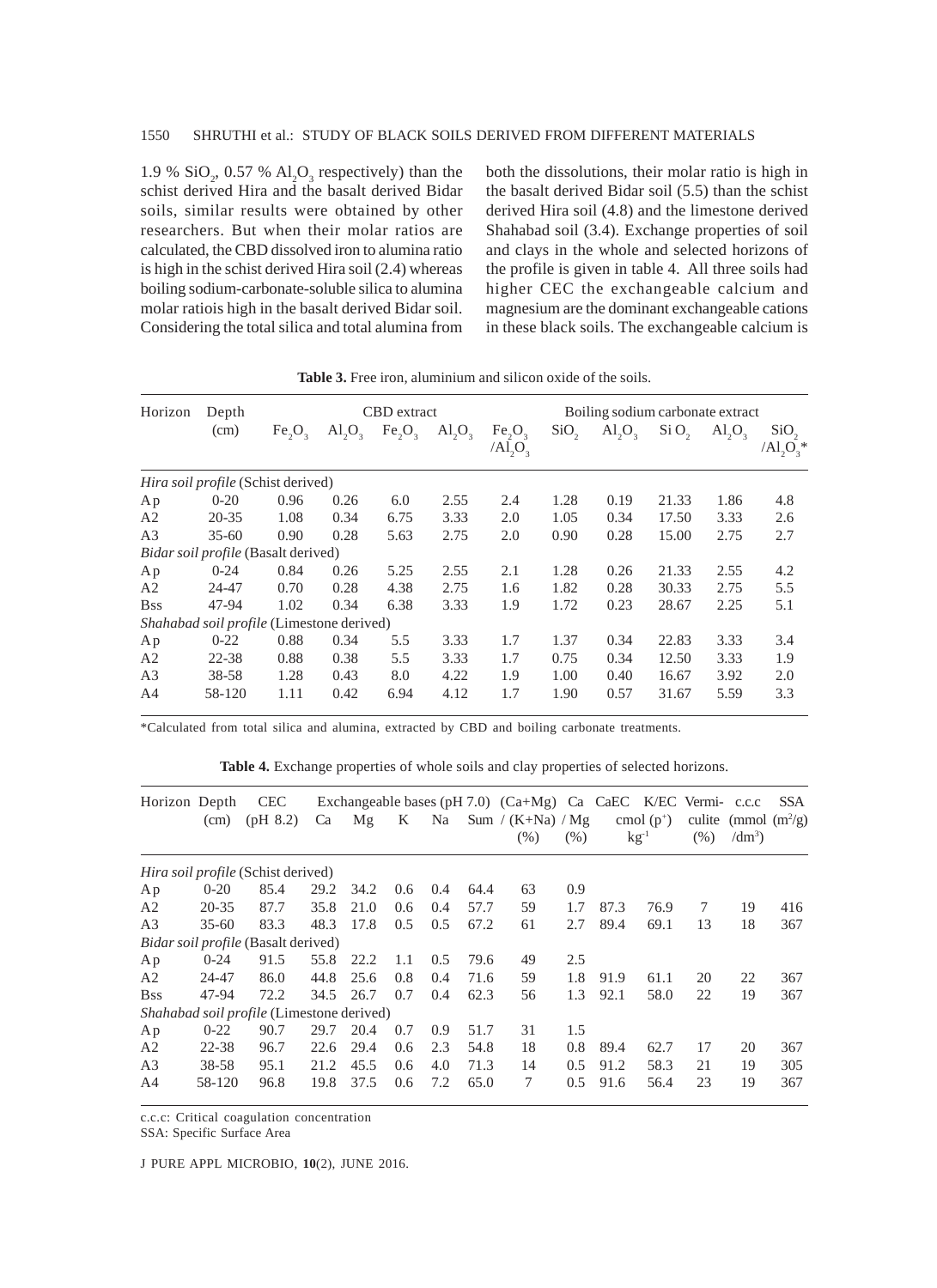1.9 %  $SiO_2$ , 0.57 %  $Al_2O_3$  respectively) than the schist derived Hira and the basalt derived Bidar soils, similar results were obtained by other researchers. But when their molar ratios are calculated, the CBD dissolved iron to alumina ratio is high in the schist derived Hira soil (2.4) whereas boiling sodium-carbonate-soluble silica to alumina molar ratiois high in the basalt derived Bidar soil. Considering the total silica and total alumina from

both the dissolutions, their molar ratio is high in the basalt derived Bidar soil (5.5) than the schist derived Hira soil (4.8) and the limestone derived Shahabad soil (3.4). Exchange properties of soil and clays in the whole and selected horizons of the profile is given in table 4. All three soils had higher CEC the exchangeable calcium and magnesium are the dominant exchangeable cations in these black soils. The exchangeable calcium is

| Horizon        | Depth                                      |           |                                | CBD extract |           |                                              | Boiling sodium carbonate extract |           |                   |                         |                                  |  |
|----------------|--------------------------------------------|-----------|--------------------------------|-------------|-----------|----------------------------------------------|----------------------------------|-----------|-------------------|-------------------------|----------------------------------|--|
|                | (cm)                                       | $Fe_2O_3$ | AI <sub>2</sub> O <sub>2</sub> | $Fe_2O_3$   | $AI_2O_3$ | $Fe_2O_3$<br>/AI <sub>2</sub> O <sub>3</sub> | SiO <sub>2</sub>                 | $AI_2O_2$ | Si O <sub>2</sub> | $\text{Al}_2\text{O}_2$ | SiO <sub>2</sub><br>$/Al_2O_3^*$ |  |
|                | <i>Hira soil profile</i> (Schist derived)  |           |                                |             |           |                                              |                                  |           |                   |                         |                                  |  |
| Ap             | $0 - 20$                                   | 0.96      | 0.26                           | 6.0         | 2.55      | 2.4                                          | 1.28                             | 0.19      | 21.33             | 1.86                    | 4.8                              |  |
| A <sub>2</sub> | $20 - 35$                                  | 1.08      | 0.34                           | 6.75        | 3.33      | 2.0                                          | 1.05                             | 0.34      | 17.50             | 3.33                    | 2.6                              |  |
| A <sub>3</sub> | $35 - 60$                                  | 0.90      | 0.28                           | 5.63        | 2.75      | 2.0                                          | 0.90                             | 0.28      | 15.00             | 2.75                    | 2.7                              |  |
|                | <i>Bidar soil profile</i> (Basalt derived) |           |                                |             |           |                                              |                                  |           |                   |                         |                                  |  |
| Ap             | $0 - 24$                                   | 0.84      | 0.26                           | 5.25        | 2.55      | 2.1                                          | 1.28                             | 0.26      | 21.33             | 2.55                    | 4.2                              |  |
| A <sub>2</sub> | 24-47                                      | 0.70      | 0.28                           | 4.38        | 2.75      | 1.6                                          | 1.82                             | 0.28      | 30.33             | 2.75                    | 5.5                              |  |
| <b>Bss</b>     | 47-94                                      | 1.02      | 0.34                           | 6.38        | 3.33      | 1.9                                          | 1.72                             | 0.23      | 28.67             | 2.25                    | 5.1                              |  |
|                | Shahabad soil profile (Limestone derived)  |           |                                |             |           |                                              |                                  |           |                   |                         |                                  |  |
| Ap             | $0 - 22$                                   | 0.88      | 0.34                           | 5.5         | 3.33      | 1.7                                          | 1.37                             | 0.34      | 22.83             | 3.33                    | 3.4                              |  |
| A <sub>2</sub> | 22-38                                      | 0.88      | 0.38                           | 5.5         | 3.33      | 1.7                                          | 0.75                             | 0.34      | 12.50             | 3.33                    | 1.9                              |  |
| A <sub>3</sub> | 38-58                                      | 1.28      | 0.43                           | 8.0         | 4.22      | 1.9                                          | 1.00                             | 0.40      | 16.67             | 3.92                    | 2.0                              |  |
| A <sub>4</sub> | 58-120                                     | 1.11      | 0.42                           | 6.94        | 4.12      | 1.7                                          | 1.90                             | 0.57      | 31.67             | 5.59                    | 3.3                              |  |

**Table 3.** Free iron, aluminium and silicon oxide of the soils.

\*Calculated from total silica and alumina, extracted by CBD and boiling carbonate treatments.

**Table 4.** Exchange properties of whole soils and clay properties of selected horizons.

| Horizon Depth  |           | <b>CEC</b>                                 |      |      |     |     |      | Exchangeable bases $(pH 7.0)$ $(Ca+Mg)$ Ca CaEC K/EC Vermi- c.c.c |      |      |                           |      |                                                      | SSA. |
|----------------|-----------|--------------------------------------------|------|------|-----|-----|------|-------------------------------------------------------------------|------|------|---------------------------|------|------------------------------------------------------|------|
|                | (cm)      | $(pH_8.2)$                                 | Ca   | Mg   | K   | Na  |      | Sum / $(K+Na)$ / Mg<br>(% )                                       | (% ) |      | cmol $(p^+)$<br>$kg^{-1}$ | (% ) | culite (mmol $(m^2/g)$ )<br>$\rm\langle dm^3\rangle$ |      |
|                |           | <i>Hira soil profile</i> (Schist derived)  |      |      |     |     |      |                                                                   |      |      |                           |      |                                                      |      |
| Ap             | $0 - 20$  | 85.4                                       | 29.2 | 34.2 | 0.6 | 0.4 | 64.4 | 63                                                                | 0.9  |      |                           |      |                                                      |      |
| A <sub>2</sub> | $20 - 35$ | 87.7                                       | 35.8 | 21.0 | 0.6 | 0.4 | 57.7 | 59                                                                | 1.7  | 87.3 | 76.9                      | 7    | 19                                                   | 416  |
| A <sub>3</sub> | $35 - 60$ | 83.3                                       | 48.3 | 17.8 | 0.5 | 0.5 | 67.2 | 61                                                                | 2.7  | 89.4 | 69.1                      | 13   | 18                                                   | 367  |
|                |           | <i>Bidar soil profile</i> (Basalt derived) |      |      |     |     |      |                                                                   |      |      |                           |      |                                                      |      |
| Ap             | $0 - 24$  | 91.5                                       | 55.8 | 22.2 | 1.1 | 0.5 | 79.6 | 49                                                                | 2.5  |      |                           |      |                                                      |      |
| A <sub>2</sub> | 24-47     | 86.0                                       | 44.8 | 25.6 | 0.8 | 0.4 | 71.6 | 59                                                                | 1.8  | 91.9 | 61.1                      | 20   | 22                                                   | 367  |
| <b>Bss</b>     | 47-94     | 72.2                                       | 34.5 | 26.7 | 0.7 | 0.4 | 62.3 | 56                                                                | 1.3  | 92.1 | 58.0                      | 22   | 19                                                   | 367  |
|                |           | Shahabad soil profile (Limestone derived)  |      |      |     |     |      |                                                                   |      |      |                           |      |                                                      |      |
| Ap             | $0 - 22$  | 90.7                                       | 29.7 | 20.4 | 0.7 | 0.9 | 51.7 | 31                                                                | 1.5  |      |                           |      |                                                      |      |
| A <sub>2</sub> | 22-38     | 96.7                                       | 22.6 | 29.4 | 0.6 | 2.3 | 54.8 | 18                                                                | 0.8  | 89.4 | 62.7                      | 17   | 20                                                   | 367  |
| A <sub>3</sub> | 38-58     | 95.1                                       | 21.2 | 45.5 | 0.6 | 4.0 | 71.3 | 14                                                                | 0.5  | 91.2 | 58.3                      | 21   | 19                                                   | 305  |
| A4             | 58-120    | 96.8                                       | 19.8 | 37.5 | 0.6 | 7.2 | 65.0 | 7                                                                 | 0.5  | 91.6 | 56.4                      | 23   | 19                                                   | 367  |

c.c.c: Critical coagulation concentration

SSA: Specific Surface Area

J PURE APPL MICROBIO*,* **10**(2), JUNE 2016.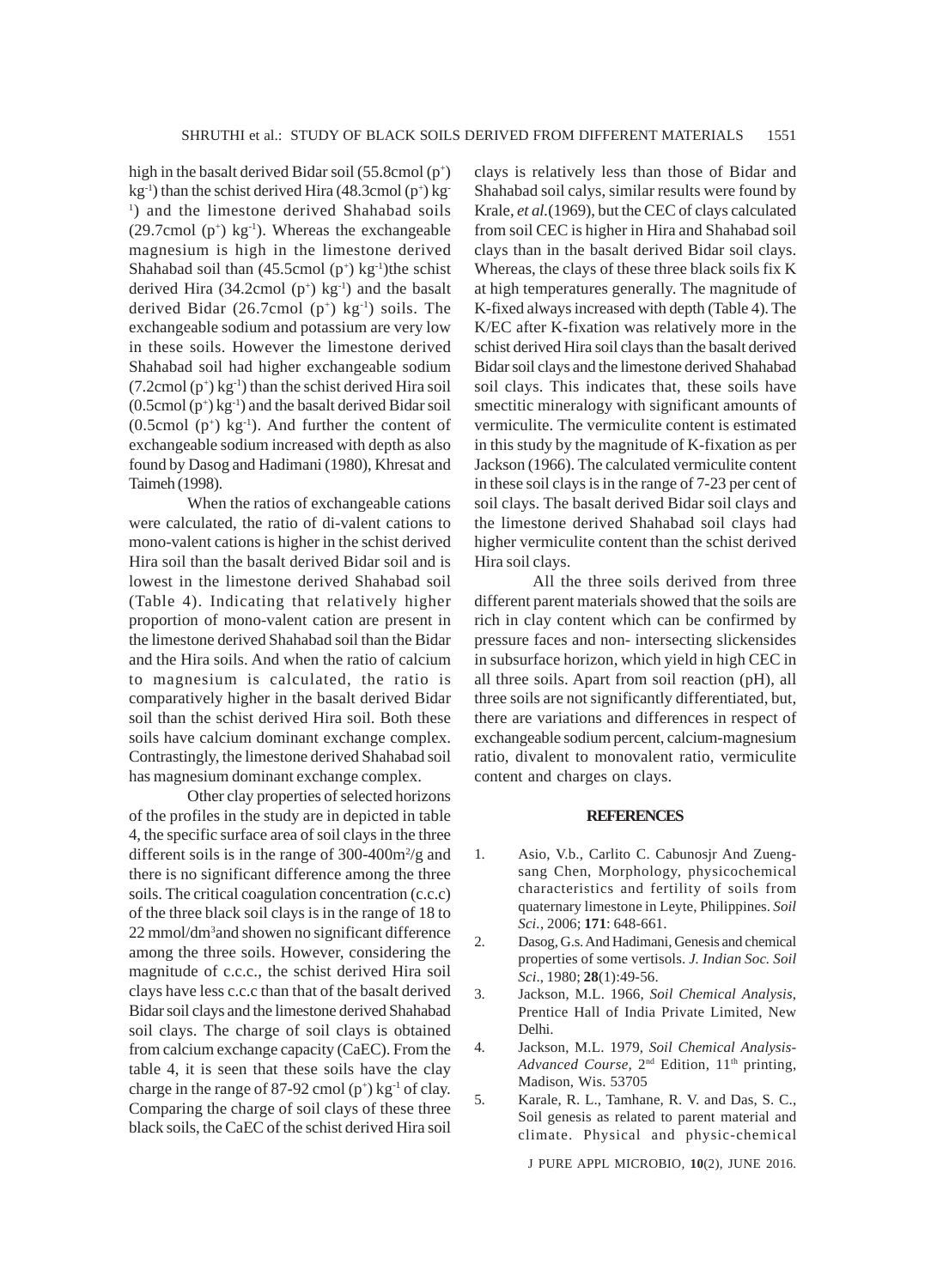high in the basalt derived Bidar soil (55.8cmol (p<sup>+</sup>)  $kg^{-1}$ ) than the schist derived Hira (48.3cmol (p<sup>+</sup>) kg <sup>1</sup>) and the limestone derived Shahabad soils  $(29.7 \text{cmol (p<sup>+</sup>) kg<sup>-1</sup>).$  Whereas the exchangeable magnesium is high in the limestone derived Shahabad soil than  $(45.5cmol (p<sup>+</sup>) kg<sup>-1</sup>)$ the schist derived Hira  $(34.2 \text{cmol (p<sup>+</sup>) kg<sup>-1</sup>)$  and the basalt derived Bidar (26.7cmol  $(p^+)$  kg<sup>-1</sup>) soils. The exchangeable sodium and potassium are very low in these soils. However the limestone derived Shahabad soil had higher exchangeable sodium  $(7.2 \text{cmol (p<sup>+</sup>) kg<sup>-1</sup>)}$  than the schist derived Hira soil  $(0.5 \text{cmol (p<sup>+</sup>) kg<sup>-1</sup>)$  and the basalt derived Bidar soil  $(0.5 \text{cmol}$  (p<sup>+</sup>) kg<sup>-1</sup>). And further the content of exchangeable sodium increased with depth as also found by Dasog and Hadimani (1980), Khresat and Taimeh (1998).

When the ratios of exchangeable cations were calculated, the ratio of di-valent cations to mono-valent cations is higher in the schist derived Hira soil than the basalt derived Bidar soil and is lowest in the limestone derived Shahabad soil (Table 4). Indicating that relatively higher proportion of mono-valent cation are present in the limestone derived Shahabad soil than the Bidar and the Hira soils. And when the ratio of calcium to magnesium is calculated, the ratio is comparatively higher in the basalt derived Bidar soil than the schist derived Hira soil. Both these soils have calcium dominant exchange complex. Contrastingly, the limestone derived Shahabad soil has magnesium dominant exchange complex.

Other clay properties of selected horizons of the profiles in the study are in depicted in table 4, the specific surface area of soil clays in the three different soils is in the range of  $300-400$ m<sup>2</sup>/g and there is no significant difference among the three soils. The critical coagulation concentration (c.c.c) of the three black soil clays is in the range of 18 to 22 mmol/dm<sup>3</sup> and showen no significant difference among the three soils. However, considering the magnitude of c.c.c., the schist derived Hira soil clays have less c.c.c than that of the basalt derived Bidar soil clays and the limestone derived Shahabad soil clays. The charge of soil clays is obtained from calcium exchange capacity (CaEC). From the table 4, it is seen that these soils have the clay charge in the range of 87-92 cmol  $(p^+)$  kg<sup>-1</sup> of clay. Comparing the charge of soil clays of these three black soils, the CaEC of the schist derived Hira soil

clays is relatively less than those of Bidar and Shahabad soil calys, similar results were found by Krale, *et al.*(1969), but the CEC of clays calculated from soil CEC is higher in Hira and Shahabad soil clays than in the basalt derived Bidar soil clays. Whereas, the clays of these three black soils fix K at high temperatures generally. The magnitude of K-fixed always increased with depth (Table 4). The K/EC after K-fixation was relatively more in the schist derived Hira soil clays than the basalt derived Bidar soil clays and the limestone derived Shahabad soil clays. This indicates that, these soils have smectitic mineralogy with significant amounts of vermiculite. The vermiculite content is estimated in this study by the magnitude of K-fixation as per Jackson (1966). The calculated vermiculite content in these soil clays is in the range of 7-23 per cent of soil clays. The basalt derived Bidar soil clays and the limestone derived Shahabad soil clays had higher vermiculite content than the schist derived Hira soil clays.

All the three soils derived from three different parent materials showed that the soils are rich in clay content which can be confirmed by pressure faces and non- intersecting slickensides in subsurface horizon, which yield in high CEC in all three soils. Apart from soil reaction (pH), all three soils are not significantly differentiated, but, there are variations and differences in respect of exchangeable sodium percent, calcium-magnesium ratio, divalent to monovalent ratio, vermiculite content and charges on clays.

#### **REFERENCES**

- 1. Asio, V.b., Carlito C. Cabunosjr And Zuengsang Chen, Morphology, physicochemical characteristics and fertility of soils from quaternary limestone in Leyte, Philippines. *Soil Sci.*, 2006; **171**: 648-661.
- 2. Dasog, G.s. And Hadimani, Genesis and chemical properties of some vertisols. *J. Indian Soc. Soil Sci*., 1980; **28**(1):49-56.
- 3. Jackson, M.L. 1966, *Soil Chemical Analysis*, Prentice Hall of India Private Limited, New Delhi.
- 4. Jackson, M.L. 1979, *Soil Chemical Analysis-*Advanced Course, 2<sup>nd</sup> Edition, 11<sup>th</sup> printing, Madison, Wis. 53705
- 5. Karale, R. L., Tamhane, R. V. and Das, S. C., Soil genesis as related to parent material and climate. Physical and physic-chemical

J PURE APPL MICROBIO*,* **10**(2), JUNE 2016.